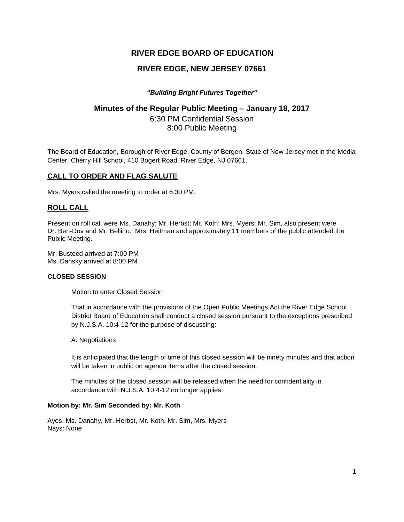# **RIVER EDGE BOARD OF EDUCATION**

## **RIVER EDGE, NEW JERSEY 07661**

## *"Building Bright Futures Together"*

## **Minutes of the Regular Public Meeting – January 18, 2017**

6:30 PM Confidential Session 8:00 Public Meeting

The Board of Education, Borough of River Edge, County of Bergen, State of New Jersey met in the Media Center, Cherry Hill School, 410 Bogert Road, River Edge, NJ 07661.

## **CALL TO ORDER AND FLAG SALUTE**

Mrs. Myers called the meeting to order at 6:30 PM.

## **ROLL CALL**

Present on roll call were Ms. Danahy; Mr. Herbst; Mr. Koth: Mrs. Myers; Mr. Sim, also present were Dr. Ben-Dov and Mr. Bellino. Mrs. Heitman and approximately 11 members of the public attended the Public Meeting.

Mr. Busteed arrived at 7:00 PM Ms. Dansky arrived at 8:00 PM

#### **CLOSED SESSION**

Motion to enter Closed Session

That in accordance with the provisions of the Open Public Meetings Act the River Edge School District Board of Education shall conduct a closed session pursuant to the exceptions prescribed by N.J.S.A. 10:4-12 for the purpose of discussing:

A. Negotiations

It is anticipated that the length of time of this closed session will be ninety minutes and that action will be taken in public on agenda items after the closed session.

The minutes of the closed session will be released when the need for confidentiality in accordance with N.J.S.A. 10:4-12 no longer applies.

#### **Motion by: Mr. Sim Seconded by: Mr. Koth**

Ayes: Ms. Danahy, Mr. Herbst, Mr. Koth, Mr. Sim, Mrs. Myers Nays: None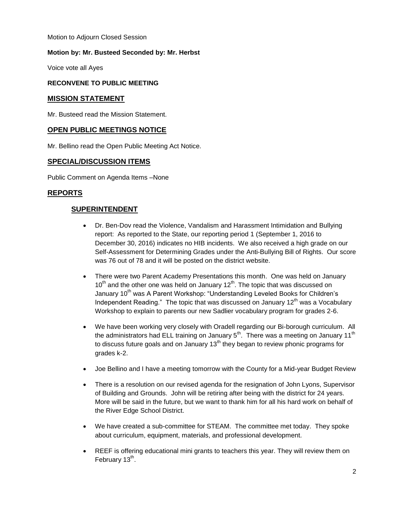Motion to Adjourn Closed Session

### **Motion by: Mr. Busteed Seconded by: Mr. Herbst**

Voice vote all Ayes

#### **RECONVENE TO PUBLIC MEETING**

#### **MISSION STATEMENT**

Mr. Busteed read the Mission Statement.

## **OPEN PUBLIC MEETINGS NOTICE**

Mr. Bellino read the Open Public Meeting Act Notice.

#### **SPECIAL/DISCUSSION ITEMS**

Public Comment on Agenda Items –None

## **REPORTS**

## **SUPERINTENDENT**

- Dr. Ben-Dov read the Violence, Vandalism and Harassment Intimidation and Bullying report: As reported to the State, our reporting period 1 (September 1, 2016 to December 30, 2016) indicates no HIB incidents. We also received a high grade on our Self-Assessment for Determining Grades under the Anti-Bullying Bill of Rights. Our score was 76 out of 78 and it will be posted on the district website.
- There were two Parent Academy Presentations this month. One was held on January  $10<sup>th</sup>$  and the other one was held on January  $12<sup>th</sup>$ . The topic that was discussed on January 10<sup>th</sup> was A Parent Workshop: "Understanding Leveled Books for Children's Independent Reading." The topic that was discussed on January  $12<sup>th</sup>$  was a Vocabulary Workshop to explain to parents our new Sadlier vocabulary program for grades 2-6.
- We have been working very closely with Oradell regarding our Bi-borough curriculum. All the administrators had ELL training on January  $5<sup>th</sup>$ . There was a meeting on January 11<sup>th</sup> to discuss future goals and on January  $13<sup>th</sup>$  they began to review phonic programs for grades k-2.
- Joe Bellino and I have a meeting tomorrow with the County for a Mid-year Budget Review
- There is a resolution on our revised agenda for the resignation of John Lyons, Supervisor of Building and Grounds. John will be retiring after being with the district for 24 years. More will be said in the future, but we want to thank him for all his hard work on behalf of the River Edge School District.
- We have created a sub-committee for STEAM. The committee met today. They spoke about curriculum, equipment, materials, and professional development.
- REEF is offering educational mini grants to teachers this year. They will review them on February 13<sup>th</sup>.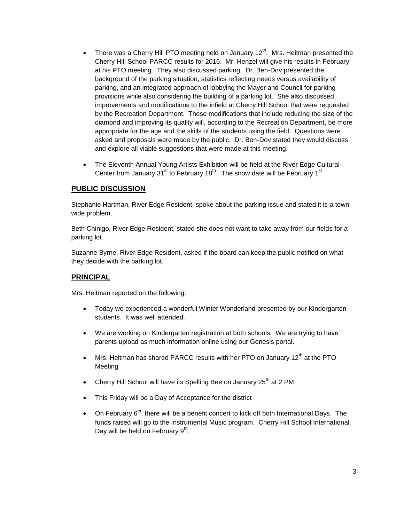- There was a Cherry Hill PTO meeting held on January 12<sup>th</sup>. Mrs. Heitman presented the Cherry Hill School PARCC results for 2016. Mr. Henzel will give his results in February at his PTO meeting. They also discussed parking. Dr. Ben-Dov presented the background of the parking situation, statistics reflecting needs versus availability of parking, and an integrated approach of lobbying the Mayor and Council for parking provisions while also considering the building of a parking lot. She also discussed improvements and modifications to the infield at Cherry Hill School that were requested by the Recreation Department. These modifications that include reducing the size of the diamond and improving its quality will, according to the Recreation Department, be more appropriate for the age and the skills of the students using the field. Questions were asked and proposals were made by the public. Dr. Ben-Dov stated they would discuss and explore all viable suggestions that were made at this meeting.
- The Eleventh Annual Young Artists Exhibition will be held at the River Edge Cultural Center from January 31<sup>st</sup> to February 18<sup>th</sup>. The snow date will be February 1<sup>st</sup>.

## **PUBLIC DISCUSSION**

Stephanie Hartman, River Edge Resident, spoke about the parking issue and stated it is a town wide problem.

Beth Chinigo, River Edge Resident, stated she does not want to take away from our fields for a parking lot.

Suzanne Byrne, River Edge Resident, asked if the board can keep the public notified on what they decide with the parking lot.

## **PRINCIPAL**

Mrs. Heitman reported on the following:

- Today we experienced a wonderful Winter Wonderland presented by our Kindergarten students. It was well attended.
- We are working on Kindergarten registration at both schools. We are trying to have parents upload as much information online using our Genesis portal.
- Mrs. Heitman has shared PARCC results with her PTO on January 12<sup>th</sup> at the PTO Meeting
- Cherry Hill School will have its Spelling Bee on January 25<sup>th</sup> at 2 PM
- This Friday will be a Day of Acceptance for the district
- $\bullet$  On February 6<sup>th</sup>, there will be a benefit concert to kick off both International Days. The funds raised will go to the Instrumental Music program. Cherry Hill School International Day will be held on February 9<sup>th</sup>.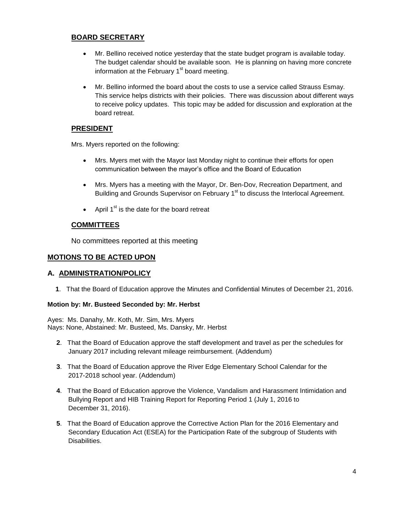## **BOARD SECRETARY**

- Mr. Bellino received notice yesterday that the state budget program is available today. The budget calendar should be available soon. He is planning on having more concrete information at the February  $1<sup>st</sup>$  board meeting.
- Mr. Bellino informed the board about the costs to use a service called Strauss Esmay. This service helps districts with their policies. There was discussion about different ways to receive policy updates. This topic may be added for discussion and exploration at the board retreat.

## **PRESIDENT**

Mrs. Myers reported on the following:

- Mrs. Myers met with the Mayor last Monday night to continue their efforts for open communication between the mayor's office and the Board of Education
- Mrs. Myers has a meeting with the Mayor, Dr. Ben-Dov, Recreation Department, and Building and Grounds Supervisor on February 1<sup>st</sup> to discuss the Interlocal Agreement.
- April  $1^{st}$  is the date for the board retreat

## **COMMITTEES**

No committees reported at this meeting

## **MOTIONS TO BE ACTED UPON**

## **A. ADMINISTRATION/POLICY**

**1**. That the Board of Education approve the Minutes and Confidential Minutes of December 21, 2016.

## **Motion by: Mr. Busteed Seconded by: Mr. Herbst**

Ayes: Ms. Danahy, Mr. Koth, Mr. Sim, Mrs. Myers Nays: None, Abstained: Mr. Busteed, Ms. Dansky, Mr. Herbst

- **2**. That the Board of Education approve the staff development and travel as per the schedules for January 2017 including relevant mileage reimbursement. (Addendum)
- **3**. That the Board of Education approve the River Edge Elementary School Calendar for the 2017-2018 school year. (Addendum)
- **4**. That the Board of Education approve the Violence, Vandalism and Harassment Intimidation and Bullying Report and HIB Training Report for Reporting Period 1 (July 1, 2016 to December 31, 2016).
- **5**. That the Board of Education approve the Corrective Action Plan for the 2016 Elementary and Secondary Education Act (ESEA) for the Participation Rate of the subgroup of Students with Disabilities.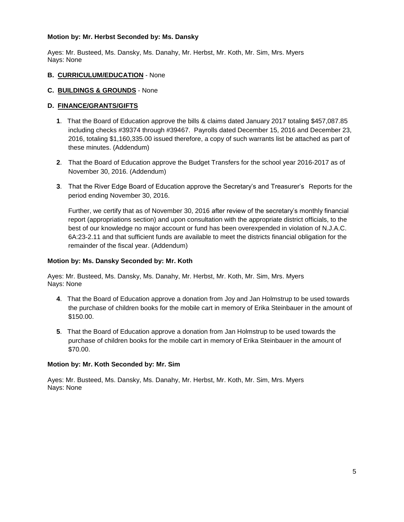#### **Motion by: Mr. Herbst Seconded by: Ms. Dansky**

Ayes: Mr. Busteed, Ms. Dansky, Ms. Danahy, Mr. Herbst, Mr. Koth, Mr. Sim, Mrs. Myers Nays: None

#### **B. CURRICULUM/EDUCATION** - None

#### **C. BUILDINGS & GROUNDS** - None

### **D. FINANCE/GRANTS/GIFTS**

- **1**. That the Board of Education approve the bills & claims dated January 2017 totaling \$457,087.85 including checks #39374 through #39467. Payrolls dated December 15, 2016 and December 23, 2016, totaling \$1,160,335.00 issued therefore, a copy of such warrants list be attached as part of these minutes. (Addendum)
- **2**. That the Board of Education approve the Budget Transfers for the school year 2016-2017 as of November 30, 2016. (Addendum)
- **3**. That the River Edge Board of Education approve the Secretary's and Treasurer's Reports for the period ending November 30, 2016.

Further, we certify that as of November 30, 2016 after review of the secretary's monthly financial report (appropriations section) and upon consultation with the appropriate district officials, to the best of our knowledge no major account or fund has been overexpended in violation of N.J.A.C. 6A:23-2.11 and that sufficient funds are available to meet the districts financial obligation for the remainder of the fiscal year. (Addendum)

#### **Motion by: Ms. Dansky Seconded by: Mr. Koth**

Ayes: Mr. Busteed, Ms. Dansky, Ms. Danahy, Mr. Herbst, Mr. Koth, Mr. Sim, Mrs. Myers Nays: None

- **4**. That the Board of Education approve a donation from Joy and Jan Holmstrup to be used towards the purchase of children books for the mobile cart in memory of Erika Steinbauer in the amount of \$150.00.
- **5**. That the Board of Education approve a donation from Jan Holmstrup to be used towards the purchase of children books for the mobile cart in memory of Erika Steinbauer in the amount of \$70.00.

#### **Motion by: Mr. Koth Seconded by: Mr. Sim**

Ayes: Mr. Busteed, Ms. Dansky, Ms. Danahy, Mr. Herbst, Mr. Koth, Mr. Sim, Mrs. Myers Nays: None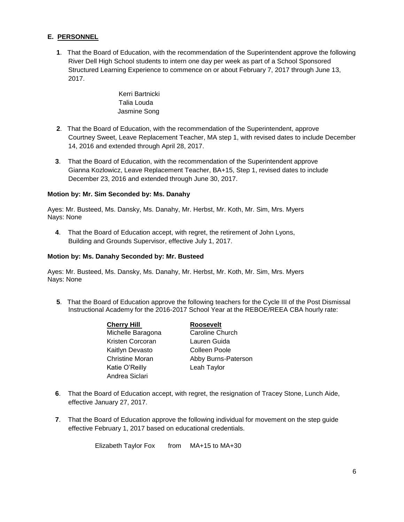## **E. PERSONNEL**

**1**. That the Board of Education, with the recommendation of the Superintendent approve the following River Dell High School students to intern one day per week as part of a School Sponsored Structured Learning Experience to commence on or about February 7, 2017 through June 13, 2017.

> Kerri Bartnicki Talia Louda Jasmine Song

- **2**. That the Board of Education, with the recommendation of the Superintendent, approve Courtney Sweet, Leave Replacement Teacher, MA step 1, with revised dates to include December 14, 2016 and extended through April 28, 2017.
- **3**. That the Board of Education, with the recommendation of the Superintendent approve Gianna Kozlowicz, Leave Replacement Teacher, BA+15, Step 1, revised dates to include December 23, 2016 and extended through June 30, 2017.

#### **Motion by: Mr. Sim Seconded by: Ms. Danahy**

Ayes: Mr. Busteed, Ms. Dansky, Ms. Danahy, Mr. Herbst, Mr. Koth, Mr. Sim, Mrs. Myers Nays: None

**4**. That the Board of Education accept, with regret, the retirement of John Lyons, Building and Grounds Supervisor, effective July 1, 2017.

#### **Motion by: Ms. Danahy Seconded by: Mr. Busteed**

Ayes: Mr. Busteed, Ms. Dansky, Ms. Danahy, Mr. Herbst, Mr. Koth, Mr. Sim, Mrs. Myers Nays: None

**5**. That the Board of Education approve the following teachers for the Cycle III of the Post Dismissal Instructional Academy for the 2016-2017 School Year at the REBOE/REEA CBA hourly rate:

| <b>Cherry Hill</b>     | <b>Roosevelt</b>    |
|------------------------|---------------------|
| Michelle Baragona      | Caroline Church     |
| Kristen Corcoran       | Lauren Guida        |
| Kaitlyn Devasto        | Colleen Poole       |
| <b>Christine Moran</b> | Abby Burns-Paterson |
| Katie O'Reilly         | Leah Taylor         |
| Andrea Siclari         |                     |

- **6**. That the Board of Education accept, with regret, the resignation of Tracey Stone, Lunch Aide, effective January 27, 2017.
- **7**. That the Board of Education approve the following individual for movement on the step guide effective February 1, 2017 based on educational credentials.

Elizabeth Taylor Fox from MA+15 to MA+30